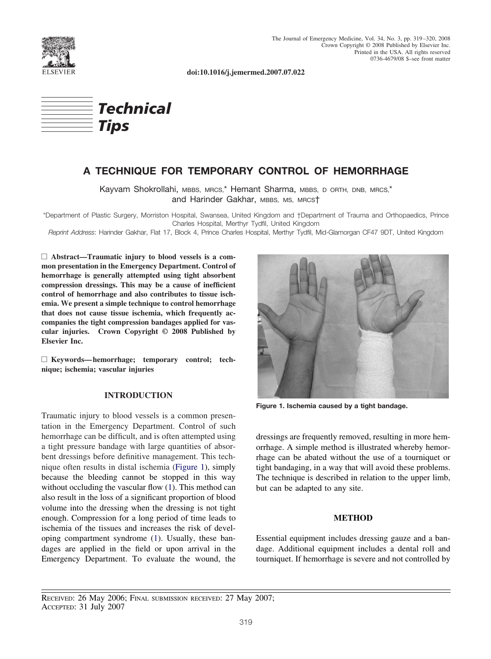

**doi:10.1016/j.jemermed.2007.07.022**



# **A TECHNIQUE FOR TEMPORARY CONTROL OF HEMORRHAGE**

Kayvam Shokrollahi, MBBS, MRCS,\* Hemant Sharma, MBBS, D ORTH, DNB, MRCS,\* and Harinder Gakhar, MBBS, MS, MRCST

\*Department of Plastic Surgery, Morriston Hospital, Swansea, United Kingdom and †Department of Trauma and Orthopaedics, Prince Charles Hospital, Merthyr Tydfil, United Kingdom

*Reprint Address*: Harinder Gakhar, Flat 17, Block 4, Prince Charles Hospital, Merthyr Tydfil, Mid-Glamorgan CF47 9DT, United Kingdom

□ Abstract—Traumatic injury to blood vessels is a com**mon presentation in the Emergency Department. Control of hemorrhage is generally attempted using tight absorbent compression dressings. This may be a cause of inefficient control of hemorrhage and also contributes to tissue ischemia. We present a simple technique to control hemorrhage that does not cause tissue ischemia, which frequently accompanies the tight compression bandages applied for vascular injuries. Crown Copyright © 2008 Published by Elsevier Inc.**

□ Keywords—hemorrhage; temporary control; tech**nique; ischemia; vascular injuries**

## **INTRODUCTION**

Traumatic injury to blood vessels is a common presentation in the Emergency Department. Control of such hemorrhage can be difficult, and is often attempted using a tight pressure bandage with large quantities of absorbent dressings before definitive management. This technique often results in distal ischemia (Figure 1), simply because the bleeding cannot be stopped in this way without occluding the vascular flow [\(1\)](#page-1-0). This method can also result in the loss of a significant proportion of blood volume into the dressing when the dressing is not tight enough. Compression for a long period of time leads to ischemia of the tissues and increases the risk of developing compartment syndrome [\(1\)](#page-1-0). Usually, these bandages are applied in the field or upon arrival in the Emergency Department. To evaluate the wound, the



**Figure 1. Ischemia caused by a tight bandage.**

dressings are frequently removed, resulting in more hemorrhage. A simple method is illustrated whereby hemorrhage can be abated without the use of a tourniquet or tight bandaging, in a way that will avoid these problems. The technique is described in relation to the upper limb, but can be adapted to any site.

#### **METHOD**

Essential equipment includes dressing gauze and a bandage. Additional equipment includes a dental roll and tourniquet. If hemorrhage is severe and not controlled by

RECEIVED: 26 May 2006; FINAL SUBMISSION RECEIVED: 27 May 2007; ACCEPTED: 31 July 2007